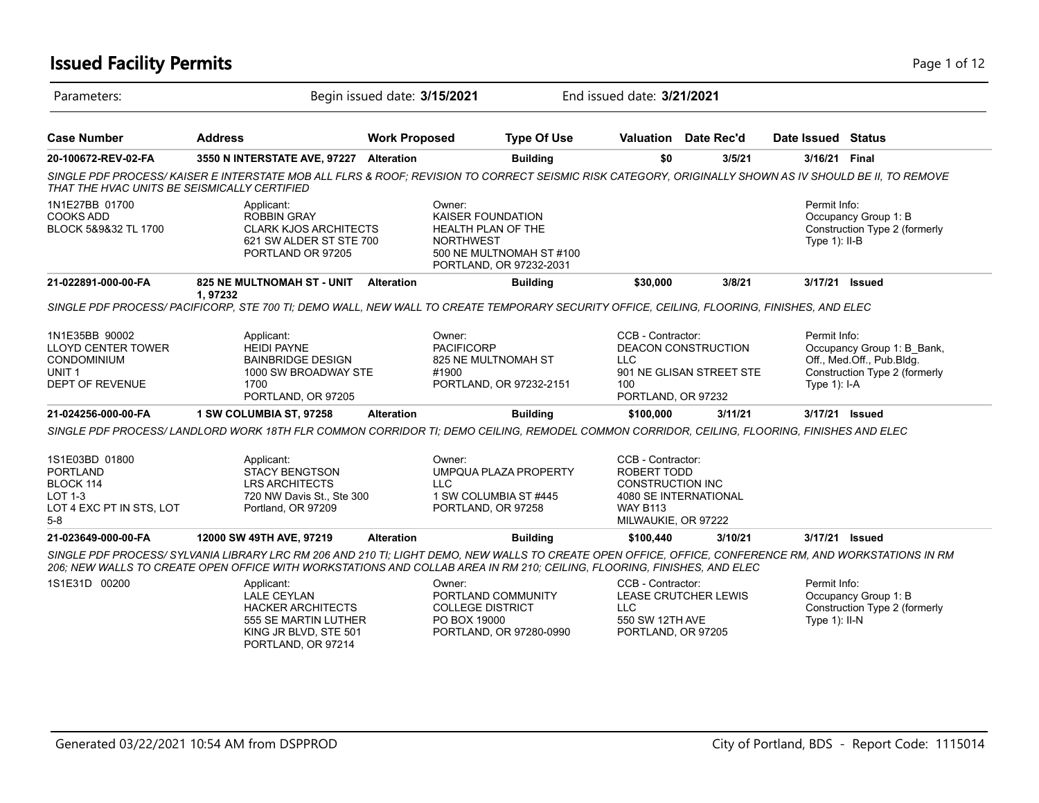## **Issued Facility Permits** Page 1 of 12

| Parameters:                                                                                               |                                                                                                                                                                                                                                                                                  | Begin issued date: 3/15/2021 |                                                                              |                                                     | End issued date: 3/21/2021                                                                            |                                                 |                                  |                                                                                          |
|-----------------------------------------------------------------------------------------------------------|----------------------------------------------------------------------------------------------------------------------------------------------------------------------------------------------------------------------------------------------------------------------------------|------------------------------|------------------------------------------------------------------------------|-----------------------------------------------------|-------------------------------------------------------------------------------------------------------|-------------------------------------------------|----------------------------------|------------------------------------------------------------------------------------------|
| <b>Case Number</b>                                                                                        | <b>Address</b>                                                                                                                                                                                                                                                                   | <b>Work Proposed</b>         |                                                                              | <b>Type Of Use</b>                                  |                                                                                                       | Valuation Date Rec'd                            | Date Issued Status               |                                                                                          |
| 20-100672-REV-02-FA                                                                                       | 3550 N INTERSTATE AVE, 97227 Alteration                                                                                                                                                                                                                                          |                              |                                                                              | <b>Building</b>                                     | \$0                                                                                                   | 3/5/21                                          | 3/16/21 Final                    |                                                                                          |
| THAT THE HVAC UNITS BE SEISMICALLY CERTIFIED                                                              | SINGLE PDF PROCESS/KAISER E INTERSTATE MOB ALL FLRS & ROOF: REVISION TO CORRECT SEISMIC RISK CATEGORY, ORIGINALLY SHOWN AS IV SHOULD BE II, TO REMOVE                                                                                                                            |                              |                                                                              |                                                     |                                                                                                       |                                                 |                                  |                                                                                          |
| 1N1E27BB 01700<br><b>COOKS ADD</b><br>BLOCK 5&9&32 TL 1700                                                | Applicant:<br><b>ROBBIN GRAY</b><br><b>CLARK KJOS ARCHITECTS</b><br>621 SW ALDER ST STE 700<br>PORTLAND OR 97205                                                                                                                                                                 |                              | Owner:<br><b>KAISER FOUNDATION</b><br>HEALTH PLAN OF THE<br><b>NORTHWEST</b> | 500 NE MULTNOMAH ST #100<br>PORTLAND, OR 97232-2031 |                                                                                                       |                                                 | Permit Info:<br>Type $1$ ): II-B | Occupancy Group 1: B<br>Construction Type 2 (formerly                                    |
| 21-022891-000-00-FA                                                                                       | 825 NE MULTNOMAH ST - UNIT<br>1,97232                                                                                                                                                                                                                                            | <b>Alteration</b>            |                                                                              | <b>Building</b>                                     | \$30,000                                                                                              | 3/8/21                                          | 3/17/21 Issued                   |                                                                                          |
|                                                                                                           | SINGLE PDF PROCESS/PACIFICORP, STE 700 TI; DEMO WALL, NEW WALL TO CREATE TEMPORARY SECURITY OFFICE, CEILING, FLOORING, FINISHES, AND ELEC                                                                                                                                        |                              |                                                                              |                                                     |                                                                                                       |                                                 |                                  |                                                                                          |
| 1N1E35BB 90002<br><b>LLOYD CENTER TOWER</b><br>CONDOMINIUM<br>UNIT <sub>1</sub><br><b>DEPT OF REVENUE</b> | Applicant:<br><b>HEIDI PAYNE</b><br><b>BAINBRIDGE DESIGN</b><br>1000 SW BROADWAY STE<br>1700<br>PORTLAND, OR 97205                                                                                                                                                               |                              | Owner:<br><b>PACIFICORP</b><br>825 NE MULTNOMAH ST<br>#1900                  | PORTLAND, OR 97232-2151                             | CCB - Contractor:<br><b>LLC</b><br>100<br>PORTLAND, OR 97232                                          | DEACON CONSTRUCTION<br>901 NE GLISAN STREET STE | Permit Info:<br>Type 1): I-A     | Occupancy Group 1: B_Bank,<br>Off., Med.Off., Pub.Bldg.<br>Construction Type 2 (formerly |
| 21-024256-000-00-FA                                                                                       | 1 SW COLUMBIA ST, 97258                                                                                                                                                                                                                                                          | <b>Alteration</b>            |                                                                              | <b>Building</b>                                     | \$100,000                                                                                             | 3/11/21                                         | 3/17/21 Issued                   |                                                                                          |
|                                                                                                           | SINGLE PDF PROCESS/ LANDLORD WORK 18TH FLR COMMON CORRIDOR TI; DEMO CEILING, REMODEL COMMON CORRIDOR, CEILING, FLOORING, FINISHES AND ELEC                                                                                                                                       |                              |                                                                              |                                                     |                                                                                                       |                                                 |                                  |                                                                                          |
| 1S1E03BD 01800<br><b>PORTLAND</b><br>BLOCK 114<br><b>LOT 1-3</b><br>LOT 4 EXC PT IN STS, LOT<br>$5-8$     | Applicant:<br><b>STACY BENGTSON</b><br><b>LRS ARCHITECTS</b><br>720 NW Davis St., Ste 300<br>Portland, OR 97209                                                                                                                                                                  |                              | Owner:<br>LLC.<br>1 SW COLUMBIA ST #445<br>PORTLAND, OR 97258                | UMPQUA PLAZA PROPERTY                               | CCB - Contractor:<br>ROBERT TODD<br><b>CONSTRUCTION INC</b><br><b>WAY B113</b><br>MILWAUKIE, OR 97222 | 4080 SE INTERNATIONAL                           |                                  |                                                                                          |
| 21-023649-000-00-FA                                                                                       | 12000 SW 49TH AVE, 97219                                                                                                                                                                                                                                                         | <b>Alteration</b>            |                                                                              | <b>Building</b>                                     | \$100,440                                                                                             | 3/10/21                                         | 3/17/21 Issued                   |                                                                                          |
|                                                                                                           | SINGLE PDF PROCESS/SYLVANIA LIBRARY LRC RM 206 AND 210 TI; LIGHT DEMO, NEW WALLS TO CREATE OPEN OFFICE, OFFICE, CONFERENCE RM, AND WORKSTATIONS IN RM<br>206; NEW WALLS TO CREATE OPEN OFFICE WITH WORKSTATIONS AND COLLAB AREA IN RM 210; CEILING, FLOORING, FINISHES, AND ELEC |                              |                                                                              |                                                     |                                                                                                       |                                                 |                                  |                                                                                          |
| 1S1E31D 00200                                                                                             | Applicant:<br><b>LALE CEYLAN</b><br><b>HACKER ARCHITECTS</b><br>555 SE MARTIN LUTHER<br>KING JR BLVD, STE 501<br>PORTLAND, OR 97214                                                                                                                                              |                              | Owner:<br>PORTLAND COMMUNITY<br><b>COLLEGE DISTRICT</b><br>PO BOX 19000      | PORTLAND, OR 97280-0990                             | CCB - Contractor:<br><b>LLC</b><br>550 SW 12TH AVE<br>PORTLAND, OR 97205                              | LEASE CRUTCHER LEWIS                            | Permit Info:<br>Type $1$ ): II-N | Occupancy Group 1: B<br>Construction Type 2 (formerly                                    |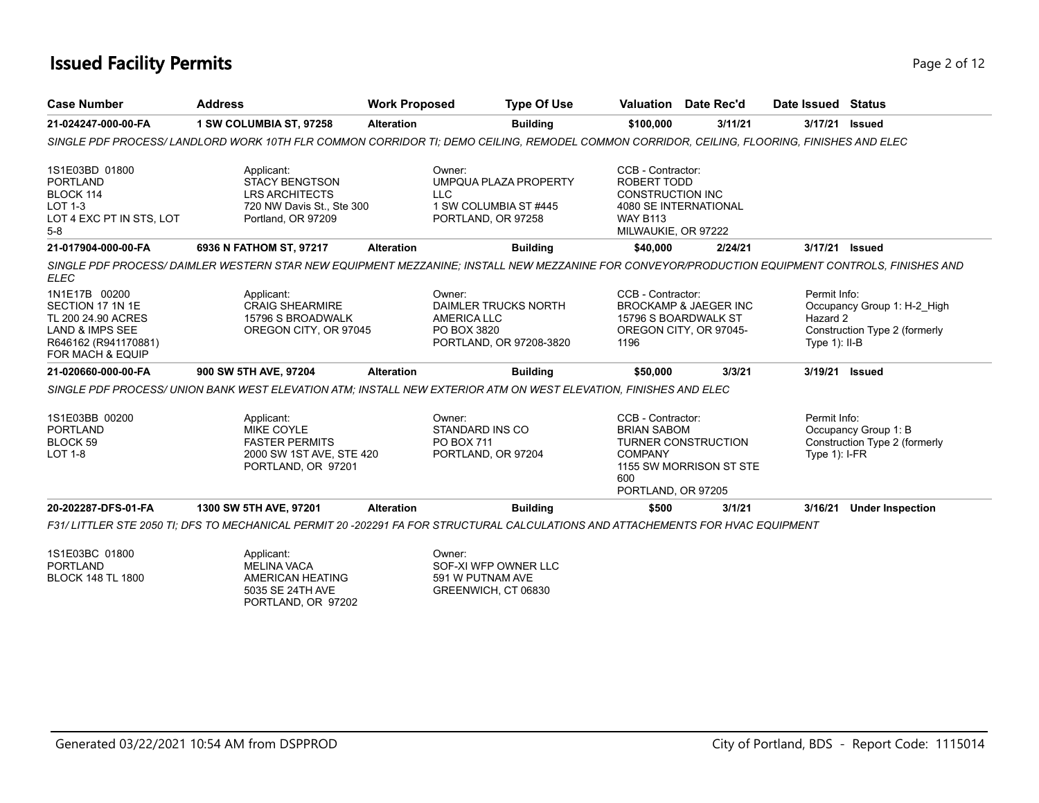## **Issued Facility Permits** Page 2 of 12

| <b>Case Number</b>                                                                                                                | <b>Address</b>                                                                                                                                   | <b>Work Proposed</b> | <b>Type Of Use</b>                                                                             |                                                                                                       | Valuation Date Rec'd                                                               | Date Issued Status                           |                                                              |
|-----------------------------------------------------------------------------------------------------------------------------------|--------------------------------------------------------------------------------------------------------------------------------------------------|----------------------|------------------------------------------------------------------------------------------------|-------------------------------------------------------------------------------------------------------|------------------------------------------------------------------------------------|----------------------------------------------|--------------------------------------------------------------|
| 21-024247-000-00-FA                                                                                                               | 1 SW COLUMBIA ST, 97258                                                                                                                          | <b>Alteration</b>    | <b>Building</b>                                                                                | \$100,000                                                                                             | 3/11/21                                                                            | 3/17/21                                      | Issued                                                       |
|                                                                                                                                   | SINGLE PDF PROCESS/ LANDLORD WORK 10TH FLR COMMON CORRIDOR TI; DEMO CEILING, REMODEL COMMON CORRIDOR, CEILING, FLOORING, FINISHES AND ELEC       |                      |                                                                                                |                                                                                                       |                                                                                    |                                              |                                                              |
| 1S1E03BD 01800<br><b>PORTLAND</b><br>BLOCK 114<br><b>LOT 1-3</b><br>LOT 4 EXC PT IN STS, LOT<br>$5-8$                             | Applicant:<br><b>STACY BENGTSON</b><br><b>LRS ARCHITECTS</b><br>720 NW Davis St., Ste 300<br>Portland, OR 97209                                  |                      | Owner:<br>UMPQUA PLAZA PROPERTY<br>LLC<br>1 SW COLUMBIA ST #445<br>PORTLAND, OR 97258          | CCB - Contractor:<br>ROBERT TODD<br><b>CONSTRUCTION INC</b><br><b>WAY B113</b><br>MILWAUKIE, OR 97222 | 4080 SE INTERNATIONAL                                                              |                                              |                                                              |
| 21-017904-000-00-FA                                                                                                               | 6936 N FATHOM ST, 97217                                                                                                                          | <b>Alteration</b>    | <b>Building</b>                                                                                | \$40,000                                                                                              | 2/24/21                                                                            | 3/17/21                                      | <b>Issued</b>                                                |
| <b>ELEC</b>                                                                                                                       | SINGLE PDF PROCESS/ DAIMLER WESTERN STAR NEW EQUIPMENT MEZZANINE; INSTALL NEW MEZZANINE FOR CONVEYOR/PRODUCTION EQUIPMENT CONTROLS, FINISHES AND |                      |                                                                                                |                                                                                                       |                                                                                    |                                              |                                                              |
| 1N1E17B 00200<br>SECTION 17 1N 1E<br>TL 200 24.90 ACRES<br><b>LAND &amp; IMPS SEE</b><br>R646162 (R941170881)<br>FOR MACH & EQUIP | Applicant:<br><b>CRAIG SHEARMIRE</b><br>15796 S BROADWALK<br>OREGON CITY, OR 97045                                                               |                      | Owner:<br>DAIMLER TRUCKS NORTH<br><b>AMERICA LLC</b><br>PO BOX 3820<br>PORTLAND, OR 97208-3820 | CCB - Contractor:<br>1196                                                                             | <b>BROCKAMP &amp; JAEGER INC</b><br>15796 S BOARDWALK ST<br>OREGON CITY, OR 97045- | Permit Info:<br>Hazard 2<br>Type $1$ ): II-B | Occupancy Group 1: H-2 High<br>Construction Type 2 (formerly |
| 21-020660-000-00-FA                                                                                                               | 900 SW 5TH AVE, 97204                                                                                                                            | <b>Alteration</b>    | <b>Building</b>                                                                                | \$50,000                                                                                              | 3/3/21                                                                             | 3/19/21                                      | <b>Issued</b>                                                |
|                                                                                                                                   | SINGLE PDF PROCESS/ UNION BANK WEST ELEVATION ATM: INSTALL NEW EXTERIOR ATM ON WEST ELEVATION, FINISHES AND ELEC                                 |                      |                                                                                                |                                                                                                       |                                                                                    |                                              |                                                              |
| 1S1E03BB 00200<br><b>PORTLAND</b><br>BLOCK <sub>59</sub><br><b>LOT 1-8</b>                                                        | Applicant:<br><b>MIKE COYLE</b><br><b>FASTER PERMITS</b><br>2000 SW 1ST AVE, STE 420<br>PORTLAND, OR 97201                                       |                      | Owner:<br>STANDARD INS CO<br>PO BOX 711<br>PORTLAND, OR 97204                                  | CCB - Contractor:<br><b>BRIAN SABOM</b><br><b>COMPANY</b><br>600<br>PORTLAND, OR 97205                | <b>TURNER CONSTRUCTION</b><br>1155 SW MORRISON ST STE                              | Permit Info:<br>Type $1$ : I-FR              | Occupancy Group 1: B<br>Construction Type 2 (formerly        |
|                                                                                                                                   |                                                                                                                                                  |                      |                                                                                                |                                                                                                       |                                                                                    |                                              |                                                              |

1S1E03BC 01800 PORTLAND BLOCK 148 TL 1800 Applicant: MELINA VACA AMERICAN HEATING 5035 SE 24TH AVE PORTLAND, OR 97202 Owner: SOF-XI WFP OWNER LLC 591 W PUTNAM AVE GREENWICH, CT 06830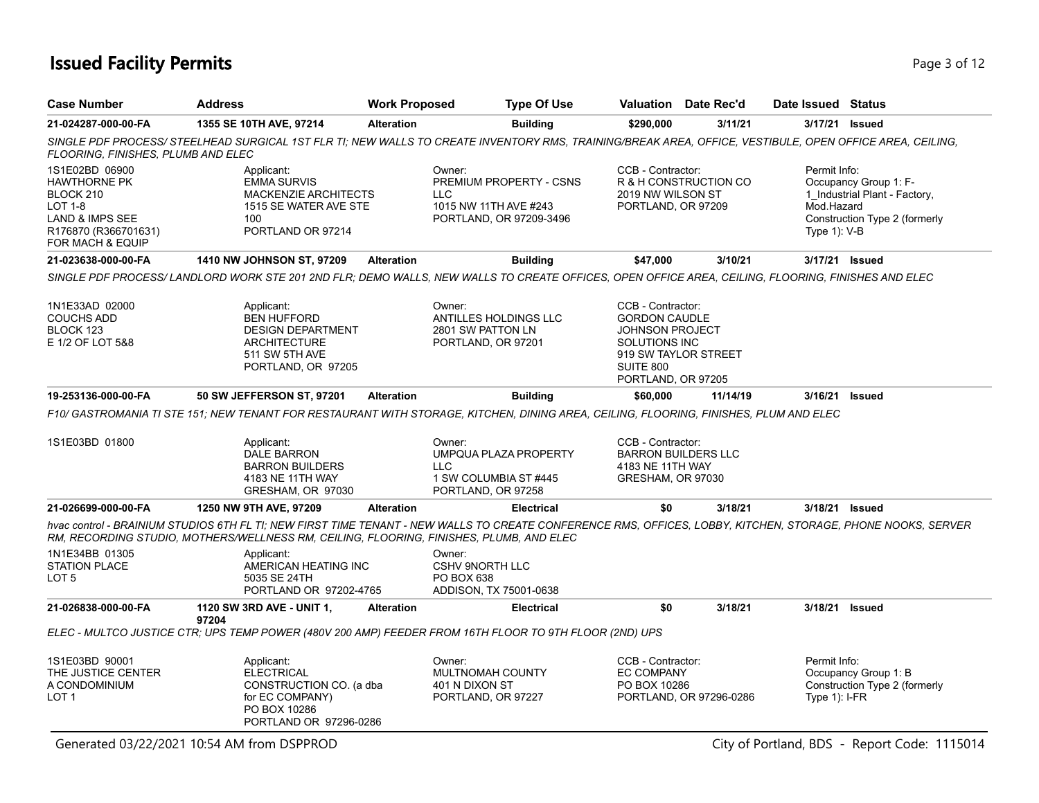## **Issued Facility Permits** Page 1 of 12

| <b>Case Number</b>                                                                                                           | <b>Address</b>                                                                                                                                                                                                                                          | <b>Work Proposed</b> | <b>Type Of Use</b>                                                                                  | Valuation Date Rec'd                                                                                                                                   |                         | Date Issued Status                         |                                                                                         |
|------------------------------------------------------------------------------------------------------------------------------|---------------------------------------------------------------------------------------------------------------------------------------------------------------------------------------------------------------------------------------------------------|----------------------|-----------------------------------------------------------------------------------------------------|--------------------------------------------------------------------------------------------------------------------------------------------------------|-------------------------|--------------------------------------------|-----------------------------------------------------------------------------------------|
| 21-024287-000-00-FA                                                                                                          | 1355 SE 10TH AVE, 97214                                                                                                                                                                                                                                 | <b>Alteration</b>    | <b>Building</b>                                                                                     | \$290,000                                                                                                                                              | 3/11/21                 | 3/17/21 <b>Issued</b>                      |                                                                                         |
| FLOORING, FINISHES, PLUMB AND ELEC                                                                                           | SINGLE PDF PROCESS/STEELHEAD SURGICAL 1ST FLR TI; NEW WALLS TO CREATE INVENTORY RMS, TRAINING/BREAK AREA, OFFICE, VESTIBULE, OPEN OFFICE AREA, CEILING,                                                                                                 |                      |                                                                                                     |                                                                                                                                                        |                         |                                            |                                                                                         |
| 1S1E02BD 06900<br>HAWTHORNE PK<br>BLOCK 210<br><b>LOT 1-8</b><br>LAND & IMPS SEE<br>R176870 (R366701631)<br>FOR MACH & EQUIP | Applicant:<br><b>EMMA SURVIS</b><br><b>MACKENZIE ARCHITECTS</b><br>1515 SE WATER AVE STE<br>100<br>PORTLAND OR 97214                                                                                                                                    |                      | Owner:<br>PREMIUM PROPERTY - CSNS<br><b>LLC</b><br>1015 NW 11TH AVE #243<br>PORTLAND, OR 97209-3496 | CCB - Contractor:<br>2019 NW WILSON ST<br>PORTLAND, OR 97209                                                                                           | R & H CONSTRUCTION CO   | Permit Info:<br>Mod.Hazard<br>Type 1): V-B | Occupancy Group 1: F-<br>1_Industrial Plant - Factory,<br>Construction Type 2 (formerly |
| 21-023638-000-00-FA                                                                                                          | 1410 NW JOHNSON ST, 97209                                                                                                                                                                                                                               | <b>Alteration</b>    | <b>Building</b>                                                                                     | \$47,000                                                                                                                                               | 3/10/21                 | 3/17/21 Issued                             |                                                                                         |
|                                                                                                                              | SINGLE PDF PROCESS/ LANDLORD WORK STE 201 2ND FLR; DEMO WALLS, NEW WALLS TO CREATE OFFICES, OPEN OFFICE AREA, CEILING, FLOORING, FINISHES AND ELEC                                                                                                      |                      |                                                                                                     |                                                                                                                                                        |                         |                                            |                                                                                         |
| 1N1E33AD 02000<br><b>COUCHS ADD</b><br>BLOCK 123<br>E 1/2 OF LOT 5&8                                                         | Applicant:<br><b>BEN HUFFORD</b><br><b>DESIGN DEPARTMENT</b><br><b>ARCHITECTURE</b><br>511 SW 5TH AVE<br>PORTLAND, OR 97205                                                                                                                             |                      | Owner:<br><b>ANTILLES HOLDINGS LLC</b><br>2801 SW PATTON LN<br>PORTLAND, OR 97201                   | CCB - Contractor:<br><b>GORDON CAUDLE</b><br><b>JOHNSON PROJECT</b><br><b>SOLUTIONS INC</b><br>919 SW TAYLOR STREET<br>SUITE 800<br>PORTLAND, OR 97205 |                         |                                            |                                                                                         |
| 19-253136-000-00-FA                                                                                                          | 50 SW JEFFERSON ST, 97201                                                                                                                                                                                                                               | <b>Alteration</b>    | <b>Building</b>                                                                                     | \$60,000                                                                                                                                               | 11/14/19                | 3/16/21                                    | <b>Issued</b>                                                                           |
|                                                                                                                              | F10/ GASTROMANIA TI STE 151; NEW TENANT FOR RESTAURANT WITH STORAGE, KITCHEN, DINING AREA, CEILING, FLOORING, FINISHES, PLUM AND ELEC                                                                                                                   |                      |                                                                                                     |                                                                                                                                                        |                         |                                            |                                                                                         |
| 1S1E03BD 01800                                                                                                               | Applicant:<br>DALE BARRON<br><b>BARRON BUILDERS</b><br>4183 NE 11TH WAY<br>GRESHAM, OR 97030                                                                                                                                                            |                      | Owner:<br>UMPQUA PLAZA PROPERTY<br><b>LLC</b><br>1 SW COLUMBIA ST #445<br>PORTLAND, OR 97258        | CCB - Contractor:<br><b>BARRON BUILDERS LLC</b><br>4183 NE 11TH WAY<br>GRESHAM, OR 97030                                                               |                         |                                            |                                                                                         |
| 21-026699-000-00-FA                                                                                                          | 1250 NW 9TH AVE, 97209                                                                                                                                                                                                                                  | <b>Alteration</b>    | <b>Electrical</b>                                                                                   | \$0                                                                                                                                                    | 3/18/21                 | 3/18/21 Issued                             |                                                                                         |
|                                                                                                                              | hvac control - BRAINIUM STUDIOS 6TH FL TI; NEW FIRST TIME TENANT - NEW WALLS TO CREATE CONFERENCE RMS, OFFICES, LOBBY, KITCHEN, STORAGE, PHONE NOOKS, SERVER<br>RM, RECORDING STUDIO, MOTHERS/WELLNESS RM, CEILING, FLOORING, FINISHES, PLUMB, AND ELEC |                      |                                                                                                     |                                                                                                                                                        |                         |                                            |                                                                                         |
| 1N1E34BB 01305<br><b>STATION PLACE</b><br>LOT 5                                                                              | Applicant:<br>AMERICAN HEATING INC<br>5035 SE 24TH<br>PORTLAND OR 97202-4765                                                                                                                                                                            |                      | Owner:<br><b>CSHV 9NORTH LLC</b><br>PO BOX 638<br>ADDISON, TX 75001-0638                            |                                                                                                                                                        |                         |                                            |                                                                                         |
| 21-026838-000-00-FA                                                                                                          | 1120 SW 3RD AVE - UNIT 1,                                                                                                                                                                                                                               | <b>Alteration</b>    | <b>Electrical</b>                                                                                   | \$0                                                                                                                                                    | 3/18/21                 | 3/18/21 Issued                             |                                                                                         |
|                                                                                                                              | 97204<br>ELEC - MULTCO JUSTICE CTR; UPS TEMP POWER (480V 200 AMP) FEEDER FROM 16TH FLOOR TO 9TH FLOOR (2ND) UPS                                                                                                                                         |                      |                                                                                                     |                                                                                                                                                        |                         |                                            |                                                                                         |
| 1S1E03BD 90001<br>THE JUSTICE CENTER<br>A CONDOMINIUM<br>LOT <sub>1</sub>                                                    | Applicant:<br><b>ELECTRICAL</b><br>CONSTRUCTION CO. (a dba<br>for EC COMPANY)<br>PO BOX 10286<br>PORTLAND OR 97296-0286                                                                                                                                 |                      | Owner:<br>MULTNOMAH COUNTY<br>401 N DIXON ST<br>PORTLAND, OR 97227                                  | CCB - Contractor:<br><b>EC COMPANY</b><br>PO BOX 10286                                                                                                 | PORTLAND, OR 97296-0286 | Permit Info:<br>Type $1$ : I-FR            | Occupancy Group 1: B<br>Construction Type 2 (formerly                                   |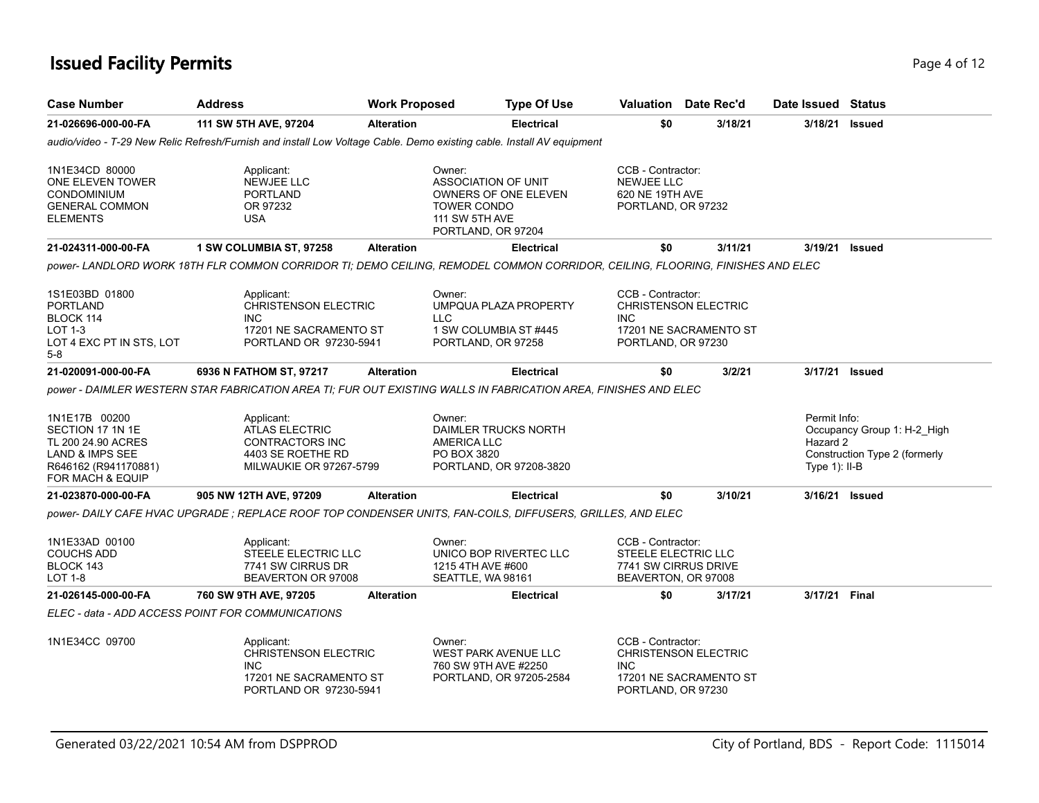## **Issued Facility Permits** Page 4 of 12

| <b>Case Number</b>                                                                                                     | <b>Address</b>                                                                                                                | <b>Work Proposed</b> |                                                                                                                                   | <b>Type Of Use</b> | Valuation Date Rec'd                                                                                           |         |        |                                              | Date Issued Status                                           |
|------------------------------------------------------------------------------------------------------------------------|-------------------------------------------------------------------------------------------------------------------------------|----------------------|-----------------------------------------------------------------------------------------------------------------------------------|--------------------|----------------------------------------------------------------------------------------------------------------|---------|--------|----------------------------------------------|--------------------------------------------------------------|
| 21-026696-000-00-FA                                                                                                    | 111 SW 5TH AVE, 97204                                                                                                         | <b>Alteration</b>    | <b>Electrical</b>                                                                                                                 |                    | \$0                                                                                                            | 3/18/21 |        | 3/18/21                                      | <b>Issued</b>                                                |
|                                                                                                                        | audio/video - T-29 New Relic Refresh/Furnish and install Low Voltage Cable. Demo existing cable. Install AV equipment         |                      |                                                                                                                                   |                    |                                                                                                                |         |        |                                              |                                                              |
| 1N1E34CD 80000<br>ONE ELEVEN TOWER<br><b>CONDOMINIUM</b><br><b>GENERAL COMMON</b><br><b>ELEMENTS</b>                   | Applicant:<br>NEWJEE LLC<br><b>PORTLAND</b><br>OR 97232<br><b>USA</b>                                                         |                      | Owner:<br><b>ASSOCIATION OF UNIT</b><br>OWNERS OF ONE ELEVEN<br><b>TOWER CONDO</b><br><b>111 SW 5TH AVE</b><br>PORTLAND, OR 97204 |                    | CCB - Contractor:<br><b>NEWJEE LLC</b><br>620 NE 19TH AVE<br>PORTLAND, OR 97232                                |         |        |                                              |                                                              |
| 21-024311-000-00-FA                                                                                                    | 1 SW COLUMBIA ST, 97258                                                                                                       | <b>Alteration</b>    | <b>Electrical</b>                                                                                                                 |                    | \$0                                                                                                            | 3/11/21 |        | 3/19/21                                      | <b>Issued</b>                                                |
|                                                                                                                        | power- LANDLORD WORK 18TH FLR COMMON CORRIDOR TI; DEMO CEILING, REMODEL COMMON CORRIDOR, CEILING, FLOORING, FINISHES AND ELEC |                      |                                                                                                                                   |                    |                                                                                                                |         |        |                                              |                                                              |
| 1S1E03BD 01800<br><b>PORTLAND</b><br>BLOCK 114<br>LOT 1-3<br>LOT 4 EXC PT IN STS, LOT<br>$5-8$                         | Applicant:<br><b>CHRISTENSON ELECTRIC</b><br><b>INC</b><br>17201 NE SACRAMENTO ST<br>PORTLAND OR 97230-5941                   |                      | Owner:<br>UMPQUA PLAZA PROPERTY<br><b>LLC</b><br>1 SW COLUMBIA ST #445<br>PORTLAND, OR 97258                                      |                    | CCB - Contractor:<br><b>CHRISTENSON ELECTRIC</b><br><b>INC</b><br>17201 NE SACRAMENTO ST<br>PORTLAND, OR 97230 |         |        |                                              |                                                              |
| 21-020091-000-00-FA                                                                                                    | 6936 N FATHOM ST, 97217                                                                                                       | <b>Alteration</b>    | <b>Electrical</b>                                                                                                                 |                    | \$0                                                                                                            |         | 3/2/21 |                                              | 3/17/21 Issued                                               |
|                                                                                                                        | power - DAIMLER WESTERN STAR FABRICATION AREA TI; FUR OUT EXISTING WALLS IN FABRICATION AREA, FINISHES AND ELEC               |                      |                                                                                                                                   |                    |                                                                                                                |         |        |                                              |                                                              |
| 1N1E17B 00200<br>SECTION 17 1N 1E<br>TL 200 24.90 ACRES<br>LAND & IMPS SEE<br>R646162 (R941170881)<br>FOR MACH & EQUIP | Applicant:<br><b>ATLAS ELECTRIC</b><br>CONTRACTORS INC<br>4403 SE ROETHE RD<br>MILWAUKIE OR 97267-5799                        |                      | Owner:<br>DAIMLER TRUCKS NORTH<br><b>AMERICA LLC</b><br>PO BOX 3820<br>PORTLAND, OR 97208-3820                                    |                    |                                                                                                                |         |        | Permit Info:<br>Hazard 2<br>Type $1$ ): II-B | Occupancy Group 1: H-2_High<br>Construction Type 2 (formerly |
| 21-023870-000-00-FA                                                                                                    | 905 NW 12TH AVE, 97209                                                                                                        | <b>Alteration</b>    | <b>Electrical</b>                                                                                                                 |                    | \$0                                                                                                            | 3/10/21 |        |                                              | 3/16/21 Issued                                               |
|                                                                                                                        | power- DAILY CAFE HVAC UPGRADE; REPLACE ROOF TOP CONDENSER UNITS, FAN-COILS, DIFFUSERS, GRILLES, AND ELEC                     |                      |                                                                                                                                   |                    |                                                                                                                |         |        |                                              |                                                              |
| 1N1E33AD 00100<br><b>COUCHS ADD</b><br>BLOCK 143<br>LOT 1-8                                                            | Applicant:<br>STEELE ELECTRIC LLC<br>7741 SW CIRRUS DR<br>BEAVERTON OR 97008                                                  |                      | Owner:<br>UNICO BOP RIVERTEC LLC<br>1215 4TH AVE #600<br>SEATTLE, WA 98161                                                        |                    | CCB - Contractor:<br>STEELE ELECTRIC LLC<br>7741 SW CIRRUS DRIVE<br>BEAVERTON, OR 97008                        |         |        |                                              |                                                              |
| 21-026145-000-00-FA                                                                                                    | 760 SW 9TH AVE, 97205                                                                                                         | <b>Alteration</b>    | <b>Electrical</b>                                                                                                                 |                    | \$0                                                                                                            | 3/17/21 |        | 3/17/21 Final                                |                                                              |
|                                                                                                                        | ELEC - data - ADD ACCESS POINT FOR COMMUNICATIONS                                                                             |                      |                                                                                                                                   |                    |                                                                                                                |         |        |                                              |                                                              |
| 1N1E34CC 09700                                                                                                         | Applicant:<br><b>CHRISTENSON ELECTRIC</b><br><b>INC</b><br>17201 NE SACRAMENTO ST<br>PORTLAND OR 97230-5941                   |                      | Owner:<br><b>WEST PARK AVENUE LLC</b><br>760 SW 9TH AVE #2250<br>PORTLAND, OR 97205-2584                                          |                    | CCB - Contractor:<br><b>CHRISTENSON ELECTRIC</b><br><b>INC</b><br>17201 NE SACRAMENTO ST<br>PORTLAND, OR 97230 |         |        |                                              |                                                              |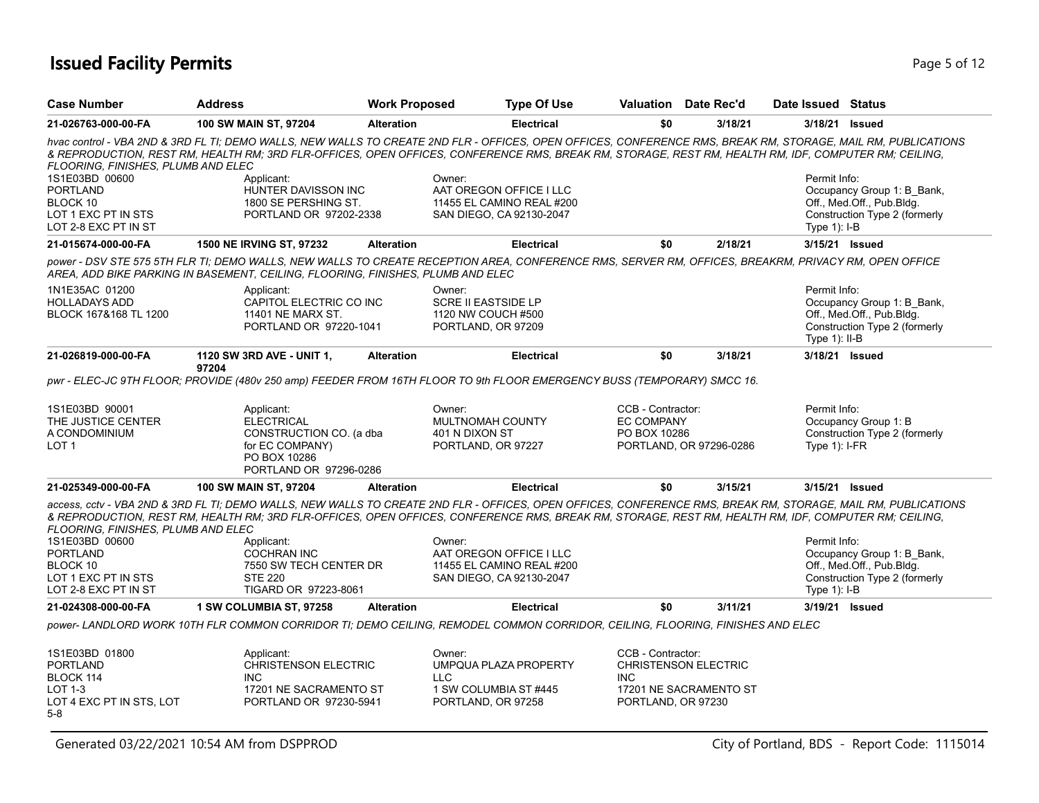## **Issued Facility Permits** Page 1 2 and 2 and 2 and 2 and 2 and 2 and 2 and 2 and 2 and 2 and 2 and 2 and 2 and 2 and 2 and 2 and 2 and 2 and 2 and 2 and 2 and 2 and 2 and 2 and 2 and 2 and 2 and 2 and 2 and 2 and 2 and 2 a

| <b>Case Number</b>                                                                                                                        | <b>Address</b>                                                                                                          | <b>Work Proposed</b> | <b>Type Of Use</b>                                                                                                                                                                                                                                                                                                                                                                                                  |                                                       | <b>Valuation</b> Date Rec'd                           | Date Issued Status              |                                                                                          |
|-------------------------------------------------------------------------------------------------------------------------------------------|-------------------------------------------------------------------------------------------------------------------------|----------------------|---------------------------------------------------------------------------------------------------------------------------------------------------------------------------------------------------------------------------------------------------------------------------------------------------------------------------------------------------------------------------------------------------------------------|-------------------------------------------------------|-------------------------------------------------------|---------------------------------|------------------------------------------------------------------------------------------|
| 21-026763-000-00-FA                                                                                                                       | 100 SW MAIN ST, 97204                                                                                                   | <b>Alteration</b>    | <b>Electrical</b>                                                                                                                                                                                                                                                                                                                                                                                                   | \$0                                                   | 3/18/21                                               |                                 | 3/18/21 Issued                                                                           |
| <b>FLOORING. FINISHES. PLUMB AND ELEC</b><br>1S1E03BD 00600<br><b>PORTLAND</b><br>BLOCK 10<br>LOT 1 EXC PT IN STS<br>LOT 2-8 EXC PT IN ST | Applicant:<br>HUNTER DAVISSON INC<br>1800 SE PERSHING ST.<br>PORTLAND OR 97202-2338                                     |                      | hvac control - VBA 2ND & 3RD FL TI; DEMO WALLS, NEW WALLS TO CREATE 2ND FLR - OFFICES, OPEN OFFICES, CONFERENCE RMS, BREAK RM, STORAGE, MAIL RM, PUBLICATIONS<br>& REPRODUCTION, REST RM, HEALTH RM; 3RD FLR-OFFICES, OPEN OFFICES, CONFERENCE RMS, BREAK RM, STORAGE, REST RM, HEALTH RM, IDF, COMPUTER RM; CEILING,<br>Owner:<br>AAT OREGON OFFICE I LLC<br>11455 EL CAMINO REAL #200<br>SAN DIEGO, CA 92130-2047 |                                                       |                                                       | Permit Info:<br>Type $1$ : I-B  | Occupancy Group 1: B_Bank,<br>Off., Med.Off., Pub.Bldg.<br>Construction Type 2 (formerly |
| 21-015674-000-00-FA                                                                                                                       | <b>1500 NE IRVING ST, 97232</b>                                                                                         | <b>Alteration</b>    | <b>Electrical</b>                                                                                                                                                                                                                                                                                                                                                                                                   | \$0                                                   | 2/18/21                                               |                                 | 3/15/21 Issued                                                                           |
|                                                                                                                                           | AREA, ADD BIKE PARKING IN BASEMENT, CEILING, FLOORING, FINISHES, PLUMB AND ELEC                                         |                      | power - DSV STE 575 5TH FLR TI; DEMO WALLS, NEW WALLS TO CREATE RECEPTION AREA, CONFERENCE RMS, SERVER RM, OFFICES, BREAKRM, PRIVACY RM, OPEN OFFICE                                                                                                                                                                                                                                                                |                                                       |                                                       |                                 |                                                                                          |
| 1N1E35AC 01200<br><b>HOLLADAYS ADD</b><br>BLOCK 167&168 TL 1200                                                                           | Applicant:<br>CAPITOL ELECTRIC CO INC<br>11401 NE MARX ST.<br>PORTLAND OR 97220-1041                                    |                      | Owner:<br><b>SCRE II EASTSIDE LP</b><br>1120 NW COUCH #500<br>PORTLAND, OR 97209                                                                                                                                                                                                                                                                                                                                    |                                                       |                                                       | Permit Info:<br>Type $1$ : II-B | Occupancy Group 1: B_Bank,<br>Off., Med.Off., Pub.Bldg.<br>Construction Type 2 (formerly |
| 21-026819-000-00-FA                                                                                                                       | 1120 SW 3RD AVE - UNIT 1,                                                                                               | <b>Alteration</b>    | <b>Electrical</b>                                                                                                                                                                                                                                                                                                                                                                                                   | \$0                                                   | 3/18/21                                               |                                 | 3/18/21 <b>Issued</b>                                                                    |
|                                                                                                                                           | 97204                                                                                                                   |                      | pwr - ELEC-JC 9TH FLOOR; PROVIDE (480v 250 amp) FEEDER FROM 16TH FLOOR TO 9th FLOOR EMERGENCY BUSS (TEMPORARY) SMCC 16.                                                                                                                                                                                                                                                                                             |                                                       |                                                       |                                 |                                                                                          |
| 1S1E03BD 90001<br>THE JUSTICE CENTER<br>A CONDOMINIUM<br>LOT 1                                                                            | Applicant:<br><b>ELECTRICAL</b><br>CONSTRUCTION CO. (a dba<br>for EC COMPANY)<br>PO BOX 10286<br>PORTLAND OR 97296-0286 |                      | Owner:<br>MULTNOMAH COUNTY<br>401 N DIXON ST<br>PORTLAND, OR 97227                                                                                                                                                                                                                                                                                                                                                  | CCB - Contractor:<br>EC COMPANY<br>PO BOX 10286       | PORTLAND, OR 97296-0286                               | Permit Info:<br>Type $1$ : I-FR | Occupancy Group 1: B<br>Construction Type 2 (formerly                                    |
| 21-025349-000-00-FA                                                                                                                       | 100 SW MAIN ST, 97204                                                                                                   | <b>Alteration</b>    | <b>Electrical</b>                                                                                                                                                                                                                                                                                                                                                                                                   | \$0                                                   | 3/15/21                                               |                                 | 3/15/21 Issued                                                                           |
| FLOORING, FINISHES, PLUMB AND ELEC                                                                                                        |                                                                                                                         |                      | access, cctv - VBA 2ND & 3RD FL TI; DEMO WALLS, NEW WALLS TO CREATE 2ND FLR - OFFICES, OPEN OFFICES, CONFERENCE RMS, BREAK RM, STORAGE, MAIL RM, PUBLICATIONS<br>& REPRODUCTION, REST RM, HEALTH RM; 3RD FLR-OFFICES, OPEN OFFICES, CONFERENCE RMS, BREAK RM, STORAGE, REST RM, HEALTH RM, IDF, COMPUTER RM; CEILING,                                                                                               |                                                       |                                                       |                                 |                                                                                          |
| 1S1E03BD 00600<br><b>PORTLAND</b><br>BLOCK 10<br>LOT 1 EXC PT IN STS<br>LOT 2-8 EXC PT IN ST                                              | Applicant:<br><b>COCHRAN INC</b><br>7550 SW TECH CENTER DR<br><b>STE 220</b><br>TIGARD OR 97223-8061                    |                      | Owner:<br>AAT OREGON OFFICE I LLC<br>11455 EL CAMINO REAL #200<br>SAN DIEGO, CA 92130-2047                                                                                                                                                                                                                                                                                                                          |                                                       |                                                       | Permit Info:<br>Type $1$ : I-B  | Occupancy Group 1: B Bank,<br>Off., Med.Off., Pub.Bldg.<br>Construction Type 2 (formerly |
| 21-024308-000-00-FA                                                                                                                       | 1 SW COLUMBIA ST, 97258                                                                                                 | <b>Alteration</b>    | <b>Electrical</b>                                                                                                                                                                                                                                                                                                                                                                                                   | \$0                                                   | 3/11/21                                               |                                 | 3/19/21 Issued                                                                           |
|                                                                                                                                           |                                                                                                                         |                      | power- LANDLORD WORK 10TH FLR COMMON CORRIDOR TI; DEMO CEILING, REMODEL COMMON CORRIDOR, CEILING, FLOORING, FINISHES AND ELEC                                                                                                                                                                                                                                                                                       |                                                       |                                                       |                                 |                                                                                          |
| 1S1E03BD 01800<br><b>PORTLAND</b><br>BLOCK 114<br><b>LOT 1-3</b><br>LOT 4 EXC PT IN STS, LOT<br>$5-8$                                     | Applicant:<br><b>CHRISTENSON ELECTRIC</b><br><b>INC</b><br>17201 NE SACRAMENTO ST<br>PORTLAND OR 97230-5941             |                      | Owner:<br>UMPQUA PLAZA PROPERTY<br><b>LLC</b><br>1 SW COLUMBIA ST #445<br>PORTLAND, OR 97258                                                                                                                                                                                                                                                                                                                        | CCB - Contractor:<br><b>INC</b><br>PORTLAND, OR 97230 | <b>CHRISTENSON ELECTRIC</b><br>17201 NE SACRAMENTO ST |                                 |                                                                                          |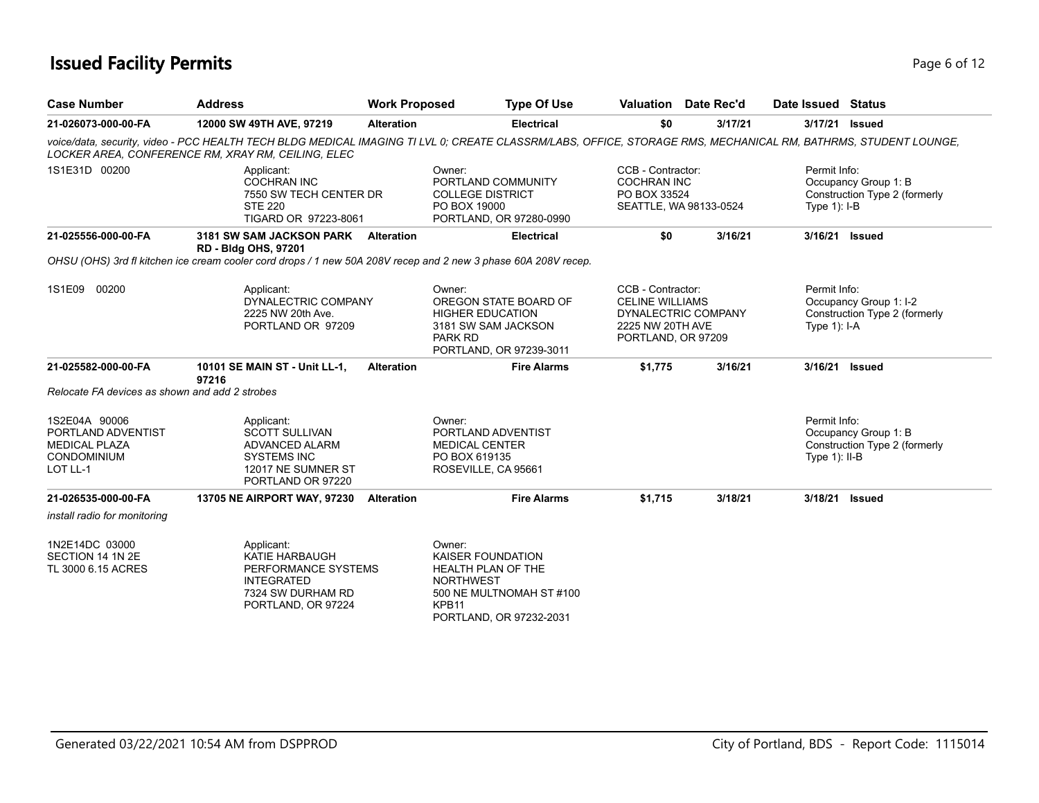## **Issued Facility Permits** Page 6 of 12

| <b>Case Number</b>                                                                            | <b>Address</b>                                                                                                                                                                                                       | <b>Work Proposed</b> | <b>Type Of Use</b>                                                                                                                                       |                                                                                       | Valuation Date Rec'd   | Date Issued Status               |                                                         |
|-----------------------------------------------------------------------------------------------|----------------------------------------------------------------------------------------------------------------------------------------------------------------------------------------------------------------------|----------------------|----------------------------------------------------------------------------------------------------------------------------------------------------------|---------------------------------------------------------------------------------------|------------------------|----------------------------------|---------------------------------------------------------|
| 21-026073-000-00-FA                                                                           | 12000 SW 49TH AVE, 97219                                                                                                                                                                                             | <b>Alteration</b>    | <b>Electrical</b>                                                                                                                                        | \$0                                                                                   | 3/17/21                |                                  | 3/17/21 Issued                                          |
|                                                                                               | voice/data, security, video - PCC HEALTH TECH BLDG MEDICAL IMAGING TI LVL 0; CREATE CLASSRM/LABS, OFFICE, STORAGE RMS, MECHANICAL RM, BATHRMS, STUDENT LOUNGE,<br>LOCKER AREA, CONFERENCE RM, XRAY RM, CEILING, ELEC |                      |                                                                                                                                                          |                                                                                       |                        |                                  |                                                         |
| 1S1E31D 00200                                                                                 | Applicant:<br><b>COCHRAN INC</b><br>7550 SW TECH CENTER DR<br><b>STE 220</b><br>TIGARD OR 97223-8061                                                                                                                 |                      | Owner:<br>PORTLAND COMMUNITY<br><b>COLLEGE DISTRICT</b><br>PO BOX 19000<br>PORTLAND, OR 97280-0990                                                       | CCB - Contractor:<br><b>COCHRAN INC</b><br>PO BOX 33524                               | SEATTLE, WA 98133-0524 | Permit Info:<br>Type $1$ : I-B   | Occupancy Group 1: B<br>Construction Type 2 (formerly   |
| 21-025556-000-00-FA                                                                           | 3181 SW SAM JACKSON PARK Alteration<br><b>RD - Bldg OHS, 97201</b>                                                                                                                                                   |                      | <b>Electrical</b>                                                                                                                                        | \$0                                                                                   | 3/16/21                |                                  | 3/16/21 Issued                                          |
|                                                                                               | OHSU (OHS) 3rd fl kitchen ice cream cooler cord drops / 1 new 50A 208V recep and 2 new 3 phase 60A 208V recep.                                                                                                       |                      |                                                                                                                                                          |                                                                                       |                        |                                  |                                                         |
| 1S1E09 00200                                                                                  | Applicant:<br>DYNALECTRIC COMPANY<br>2225 NW 20th Ave.<br>PORTLAND OR 97209                                                                                                                                          |                      | Owner:<br>OREGON STATE BOARD OF<br><b>HIGHER EDUCATION</b><br>3181 SW SAM JACKSON<br>PARK RD<br>PORTLAND, OR 97239-3011                                  | CCB - Contractor:<br><b>CELINE WILLIAMS</b><br>2225 NW 20TH AVE<br>PORTLAND, OR 97209 | DYNALECTRIC COMPANY    | Permit Info:<br>Type $1$ ): I-A  | Occupancy Group 1: I-2<br>Construction Type 2 (formerly |
| 21-025582-000-00-FA                                                                           | 10101 SE MAIN ST - Unit LL-1,<br>97216                                                                                                                                                                               | <b>Alteration</b>    | <b>Fire Alarms</b>                                                                                                                                       | \$1,775                                                                               | 3/16/21                | 3/16/21                          | <b>Issued</b>                                           |
| Relocate FA devices as shown and add 2 strobes                                                |                                                                                                                                                                                                                      |                      |                                                                                                                                                          |                                                                                       |                        |                                  |                                                         |
| 1S2E04A 90006<br>PORTLAND ADVENTIST<br><b>MEDICAL PLAZA</b><br><b>CONDOMINIUM</b><br>LOT LL-1 | Applicant:<br><b>SCOTT SULLIVAN</b><br>ADVANCED ALARM<br><b>SYSTEMS INC</b><br>12017 NE SUMNER ST<br>PORTLAND OR 97220                                                                                               |                      | Owner:<br>PORTLAND ADVENTIST<br><b>MEDICAL CENTER</b><br>PO BOX 619135<br>ROSEVILLE, CA 95661                                                            |                                                                                       |                        | Permit Info:<br>Type $1$ ): II-B | Occupancy Group 1: B<br>Construction Type 2 (formerly   |
| 21-026535-000-00-FA                                                                           | 13705 NE AIRPORT WAY, 97230                                                                                                                                                                                          | <b>Alteration</b>    | <b>Fire Alarms</b>                                                                                                                                       | \$1,715                                                                               | 3/18/21                | 3/18/21                          | <b>Issued</b>                                           |
| install radio for monitoring                                                                  |                                                                                                                                                                                                                      |                      |                                                                                                                                                          |                                                                                       |                        |                                  |                                                         |
| 1N2E14DC 03000<br>SECTION 14 1N 2E<br>TL 3000 6.15 ACRES                                      | Applicant:<br>KATIE HARBAUGH<br>PERFORMANCE SYSTEMS<br><b>INTEGRATED</b><br>7324 SW DURHAM RD<br>PORTLAND, OR 97224                                                                                                  |                      | Owner:<br>KAISER FOUNDATION<br><b>HEALTH PLAN OF THE</b><br><b>NORTHWEST</b><br>500 NE MULTNOMAH ST #100<br>KPB <sub>11</sub><br>PORTLAND, OR 97232-2031 |                                                                                       |                        |                                  |                                                         |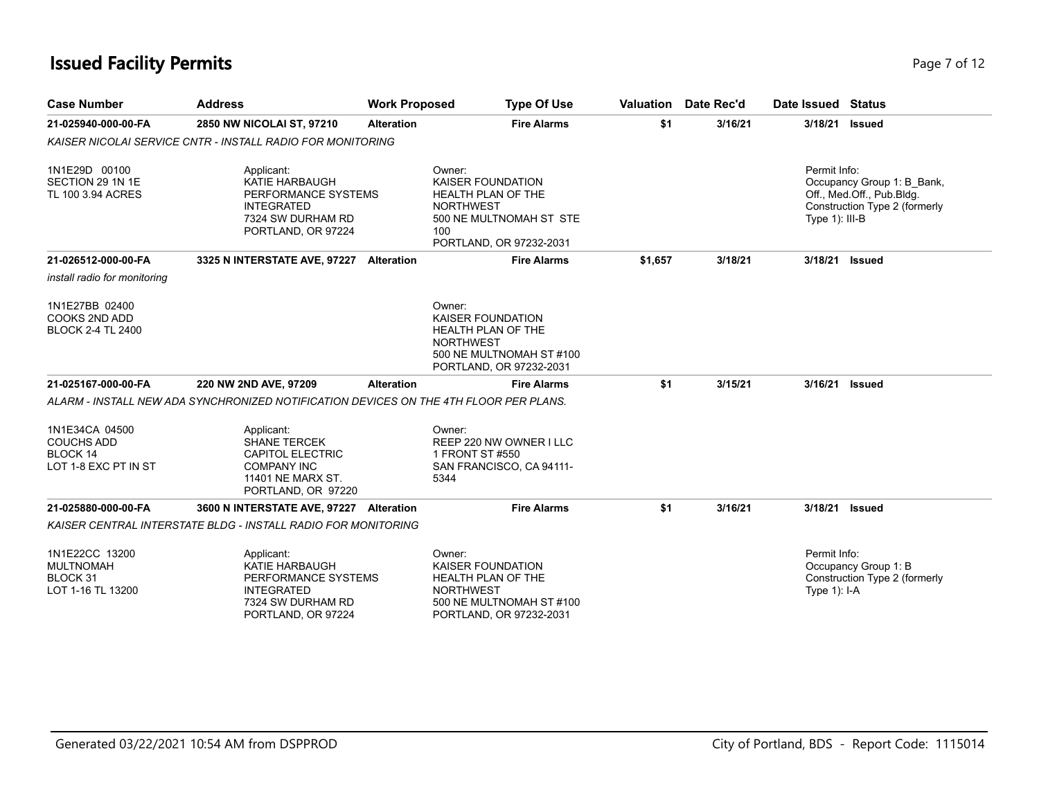## **Issued Facility Permits** Page 7 of 12

| <b>Case Number</b>                                                             | <b>Address</b>                                                                                                                | <b>Work Proposed</b> | <b>Type Of Use</b>                                                                                                                         | Valuation | Date Rec'd | Date Issued Status                |                                                                                          |
|--------------------------------------------------------------------------------|-------------------------------------------------------------------------------------------------------------------------------|----------------------|--------------------------------------------------------------------------------------------------------------------------------------------|-----------|------------|-----------------------------------|------------------------------------------------------------------------------------------|
| 21-025940-000-00-FA                                                            | 2850 NW NICOLAI ST, 97210                                                                                                     | <b>Alteration</b>    | <b>Fire Alarms</b>                                                                                                                         | \$1       | 3/16/21    | 3/18/21                           | Issued                                                                                   |
|                                                                                | <b>KAISER NICOLAI SERVICE CNTR - INSTALL RADIO FOR MONITORING</b>                                                             |                      |                                                                                                                                            |           |            |                                   |                                                                                          |
| 1N1E29D 00100<br>SECTION 29 1N 1E<br>TL 100 3.94 ACRES                         | Applicant:<br>KATIE HARBAUGH<br>PERFORMANCE SYSTEMS<br><b>INTEGRATED</b><br>7324 SW DURHAM RD<br>PORTLAND, OR 97224           |                      | Owner:<br><b>KAISER FOUNDATION</b><br>HEALTH PLAN OF THE<br><b>NORTHWEST</b><br>500 NE MULTNOMAH ST STE<br>100<br>PORTLAND, OR 97232-2031  |           |            | Permit Info:<br>Type $1$ ): III-B | Occupancy Group 1: B Bank,<br>Off., Med.Off., Pub.Bldg.<br>Construction Type 2 (formerly |
| 21-026512-000-00-FA                                                            | 3325 N INTERSTATE AVE, 97227 Alteration                                                                                       |                      | <b>Fire Alarms</b>                                                                                                                         | \$1,657   | 3/18/21    | 3/18/21 Issued                    |                                                                                          |
| install radio for monitoring                                                   |                                                                                                                               |                      |                                                                                                                                            |           |            |                                   |                                                                                          |
| 1N1E27BB 02400<br>COOKS 2ND ADD<br><b>BLOCK 2-4 TL 2400</b>                    |                                                                                                                               |                      | Owner:<br><b>KAISER FOUNDATION</b><br><b>HEALTH PLAN OF THE</b><br><b>NORTHWEST</b><br>500 NE MULTNOMAH ST #100<br>PORTLAND, OR 97232-2031 |           |            |                                   |                                                                                          |
| 21-025167-000-00-FA                                                            | 220 NW 2ND AVE, 97209                                                                                                         | <b>Alteration</b>    | <b>Fire Alarms</b>                                                                                                                         | \$1       | 3/15/21    | 3/16/21 Issued                    |                                                                                          |
|                                                                                | ALARM - INSTALL NEW ADA SYNCHRONIZED NOTIFICATION DEVICES ON THE 4TH FLOOR PER PLANS.                                         |                      |                                                                                                                                            |           |            |                                   |                                                                                          |
| 1N1E34CA 04500<br><b>COUCHS ADD</b><br><b>BLOCK 14</b><br>LOT 1-8 EXC PT IN ST | Applicant:<br><b>SHANE TERCEK</b><br><b>CAPITOL ELECTRIC</b><br><b>COMPANY INC</b><br>11401 NE MARX ST.<br>PORTLAND, OR 97220 |                      | Owner:<br>REEP 220 NW OWNER I LLC<br>1 FRONT ST #550<br>SAN FRANCISCO, CA 94111-<br>5344                                                   |           |            |                                   |                                                                                          |
| 21-025880-000-00-FA                                                            | 3600 N INTERSTATE AVE, 97227 Alteration                                                                                       |                      | <b>Fire Alarms</b>                                                                                                                         | \$1       | 3/16/21    | 3/18/21                           | <b>Issued</b>                                                                            |
|                                                                                | <b>KAISER CENTRAL INTERSTATE BLDG - INSTALL RADIO FOR MONITORING</b>                                                          |                      |                                                                                                                                            |           |            |                                   |                                                                                          |
| 1N1E22CC 13200<br><b>MULTNOMAH</b><br>BLOCK 31<br>LOT 1-16 TL 13200            | Applicant:<br>KATIE HARBAUGH<br>PERFORMANCE SYSTEMS<br><b>INTEGRATED</b><br>7324 SW DURHAM RD<br>PORTLAND, OR 97224           |                      | Owner:<br><b>KAISER FOUNDATION</b><br>HEALTH PLAN OF THE<br><b>NORTHWEST</b><br>500 NE MULTNOMAH ST #100<br>PORTLAND, OR 97232-2031        |           |            | Permit Info:<br>Type $1$ : I-A    | Occupancy Group 1: B<br>Construction Type 2 (formerly                                    |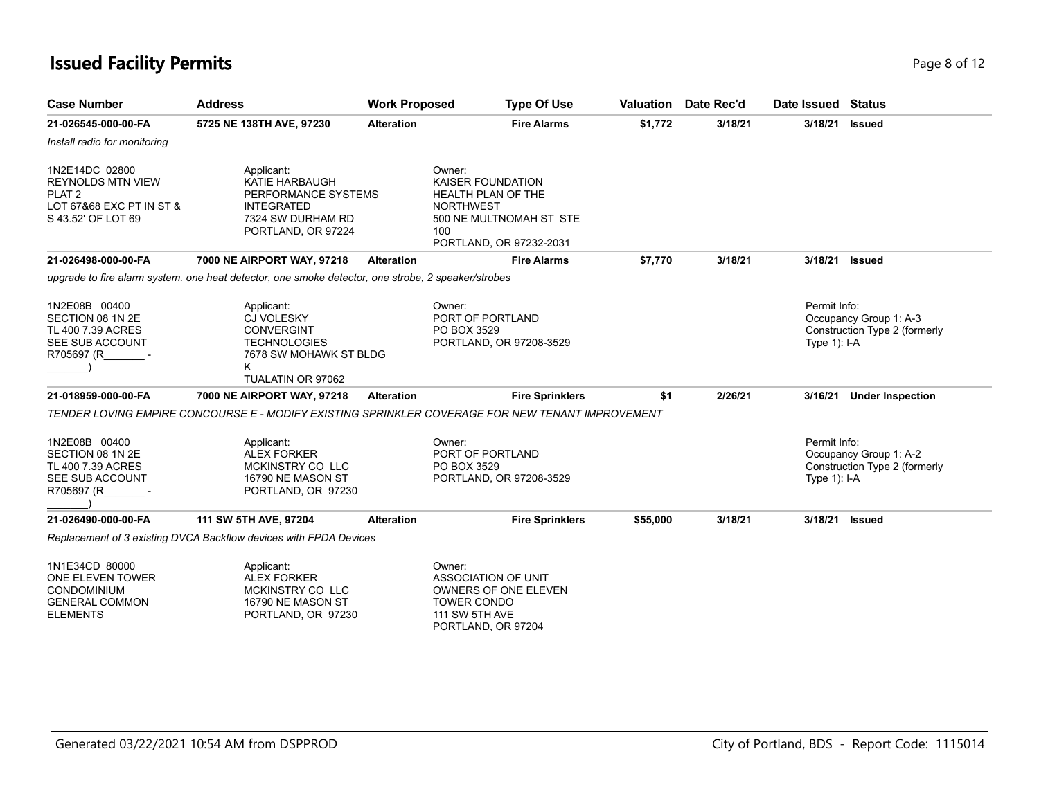## **Issued Facility Permits** Page 8 of 12

| <b>Case Number</b>                                                                                                | <b>Address</b>                                                                                                                  | <b>Work Proposed</b> | <b>Type Of Use</b>                                                                                                                        | Valuation | Date Rec'd | Date Issued                     | <b>Status</b>                                           |
|-------------------------------------------------------------------------------------------------------------------|---------------------------------------------------------------------------------------------------------------------------------|----------------------|-------------------------------------------------------------------------------------------------------------------------------------------|-----------|------------|---------------------------------|---------------------------------------------------------|
| 21-026545-000-00-FA                                                                                               | 5725 NE 138TH AVE, 97230                                                                                                        | <b>Alteration</b>    | <b>Fire Alarms</b>                                                                                                                        | \$1,772   | 3/18/21    | 3/18/21                         | <b>Issued</b>                                           |
| Install radio for monitoring                                                                                      |                                                                                                                                 |                      |                                                                                                                                           |           |            |                                 |                                                         |
| 1N2E14DC 02800<br><b>REYNOLDS MTN VIEW</b><br>PLAT <sub>2</sub><br>LOT 67&68 EXC PT IN ST &<br>S 43.52' OF LOT 69 | Applicant:<br><b>KATIE HARBAUGH</b><br>PERFORMANCE SYSTEMS<br><b>INTEGRATED</b><br>7324 SW DURHAM RD<br>PORTLAND, OR 97224      |                      | Owner:<br>KAISER FOUNDATION<br><b>HEALTH PLAN OF THE</b><br><b>NORTHWEST</b><br>500 NE MULTNOMAH ST STE<br>100<br>PORTLAND, OR 97232-2031 |           |            |                                 |                                                         |
| 21-026498-000-00-FA                                                                                               | 7000 NE AIRPORT WAY, 97218                                                                                                      | <b>Alteration</b>    | <b>Fire Alarms</b>                                                                                                                        | \$7,770   | 3/18/21    | 3/18/21                         | <b>Issued</b>                                           |
|                                                                                                                   | upgrade to fire alarm system. one heat detector, one smoke detector, one strobe, 2 speaker/strobes                              |                      |                                                                                                                                           |           |            |                                 |                                                         |
| 1N2E08B 00400<br>SECTION 08 1N 2E<br>TL 400 7.39 ACRES<br>SEE SUB ACCOUNT<br>R705697 (R                           | Applicant:<br><b>CJ VOLESKY</b><br><b>CONVERGINT</b><br><b>TECHNOLOGIES</b><br>7678 SW MOHAWK ST BLDG<br>K<br>TUALATIN OR 97062 |                      | Owner:<br>PORT OF PORTLAND<br>PO BOX 3529<br>PORTLAND, OR 97208-3529                                                                      |           |            | Permit Info:<br>Type $1$ ): I-A | Occupancy Group 1: A-3<br>Construction Type 2 (formerly |
| 21-018959-000-00-FA                                                                                               | 7000 NE AIRPORT WAY, 97218                                                                                                      | <b>Alteration</b>    | <b>Fire Sprinklers</b>                                                                                                                    | \$1       | 2/26/21    |                                 | 3/16/21 Under Inspection                                |
|                                                                                                                   |                                                                                                                                 |                      | TENDER LOVING EMPIRE CONCOURSE E - MODIFY EXISTING SPRINKLER COVERAGE FOR NEW TENANT IMPROVEMENT                                          |           |            |                                 |                                                         |
| 1N2E08B 00400<br>SECTION 08 1N 2E<br>TL 400 7.39 ACRES<br>SEE SUB ACCOUNT<br>R705697 (R                           | Applicant:<br><b>ALEX FORKER</b><br>MCKINSTRY CO LLC<br>16790 NE MASON ST<br>PORTLAND, OR 97230                                 |                      | Owner:<br>PORT OF PORTLAND<br>PO BOX 3529<br>PORTLAND, OR 97208-3529                                                                      |           |            | Permit Info:<br>Type $1$ : I-A  | Occupancy Group 1: A-2<br>Construction Type 2 (formerly |
| 21-026490-000-00-FA                                                                                               | 111 SW 5TH AVE, 97204                                                                                                           | <b>Alteration</b>    | <b>Fire Sprinklers</b>                                                                                                                    | \$55,000  | 3/18/21    | 3/18/21                         | <b>Issued</b>                                           |
|                                                                                                                   | Replacement of 3 existing DVCA Backflow devices with FPDA Devices                                                               |                      |                                                                                                                                           |           |            |                                 |                                                         |
| 1N1E34CD 80000<br>ONE ELEVEN TOWER<br><b>CONDOMINIUM</b><br><b>GENERAL COMMON</b><br><b>ELEMENTS</b>              | Applicant:<br><b>ALEX FORKER</b><br>MCKINSTRY CO LLC<br>16790 NE MASON ST<br>PORTLAND, OR 97230                                 |                      | Owner:<br><b>ASSOCIATION OF UNIT</b><br>OWNERS OF ONE ELEVEN<br><b>TOWER CONDO</b><br>111 SW 5TH AVE<br>PORTLAND, OR 97204                |           |            |                                 |                                                         |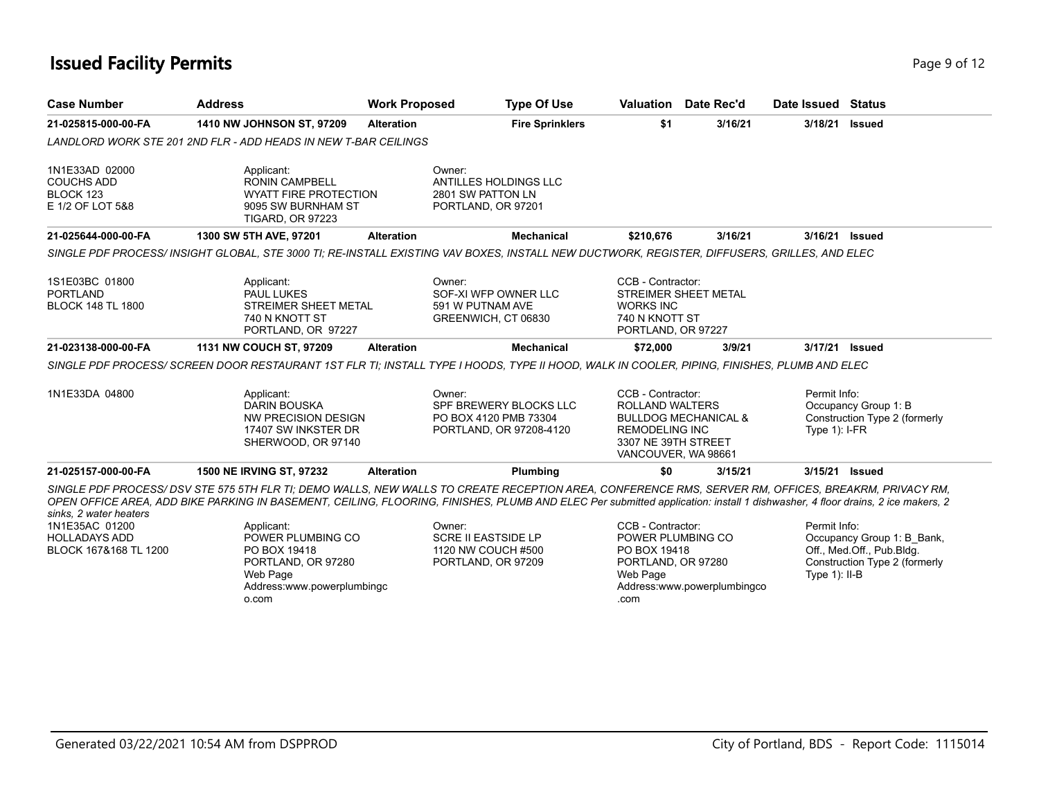## **Issued Facility Permits** Page 9 of 12

| <b>Case Number</b>                                                                        | <b>Address</b>                                                                                                                                                                                                                                                                                                                      | <b>Work Proposed</b> | <b>Type Of Use</b>                         | Valuation                                                           | Date Rec'd                      | Date Issued Status |                               |
|-------------------------------------------------------------------------------------------|-------------------------------------------------------------------------------------------------------------------------------------------------------------------------------------------------------------------------------------------------------------------------------------------------------------------------------------|----------------------|--------------------------------------------|---------------------------------------------------------------------|---------------------------------|--------------------|-------------------------------|
| 21-025815-000-00-FA                                                                       | 1410 NW JOHNSON ST, 97209                                                                                                                                                                                                                                                                                                           | <b>Alteration</b>    | <b>Fire Sprinklers</b>                     | \$1                                                                 | 3/16/21                         | 3/18/21            | <b>Issued</b>                 |
|                                                                                           | LANDLORD WORK STE 201 2ND FLR - ADD HEADS IN NEW T-BAR CEILINGS                                                                                                                                                                                                                                                                     |                      |                                            |                                                                     |                                 |                    |                               |
| 1N1E33AD 02000                                                                            | Applicant:                                                                                                                                                                                                                                                                                                                          | Owner:               |                                            |                                                                     |                                 |                    |                               |
| <b>COUCHS ADD</b><br>BLOCK 123                                                            | <b>RONIN CAMPBELL</b><br><b>WYATT FIRE PROTECTION</b>                                                                                                                                                                                                                                                                               |                      | ANTILLES HOLDINGS LLC<br>2801 SW PATTON LN |                                                                     |                                 |                    |                               |
| E 1/2 OF LOT 5&8                                                                          | 9095 SW BURNHAM ST<br><b>TIGARD, OR 97223</b>                                                                                                                                                                                                                                                                                       |                      | PORTLAND, OR 97201                         |                                                                     |                                 |                    |                               |
| 21-025644-000-00-FA                                                                       | 1300 SW 5TH AVE, 97201                                                                                                                                                                                                                                                                                                              | <b>Alteration</b>    | <b>Mechanical</b>                          | \$210,676                                                           | 3/16/21                         | 3/16/21            | Issued                        |
|                                                                                           | SINGLE PDF PROCESS/ INSIGHT GLOBAL, STE 3000 TI; RE-INSTALL EXISTING VAV BOXES, INSTALL NEW DUCTWORK, REGISTER, DIFFUSERS, GRILLES, AND ELEC                                                                                                                                                                                        |                      |                                            |                                                                     |                                 |                    |                               |
| 1S1E03BC 01800                                                                            | Applicant:                                                                                                                                                                                                                                                                                                                          | Owner:               |                                            | CCB - Contractor:                                                   |                                 |                    |                               |
| <b>PORTLAND</b>                                                                           | <b>PAUL LUKES</b>                                                                                                                                                                                                                                                                                                                   |                      | SOF-XI WFP OWNER LLC                       |                                                                     | STREIMER SHEET METAL            |                    |                               |
| <b>BLOCK 148 TL 1800</b>                                                                  | <b>STREIMER SHEET METAL</b><br>740 N KNOTT ST                                                                                                                                                                                                                                                                                       |                      | 591 W PUTNAM AVE<br>GREENWICH, CT 06830    | <b>WORKS INC</b><br>740 N KNOTT ST                                  |                                 |                    |                               |
|                                                                                           | PORTLAND, OR 97227                                                                                                                                                                                                                                                                                                                  |                      |                                            | PORTLAND, OR 97227                                                  |                                 |                    |                               |
|                                                                                           |                                                                                                                                                                                                                                                                                                                                     |                      |                                            |                                                                     |                                 |                    |                               |
|                                                                                           | 1131 NW COUCH ST, 97209                                                                                                                                                                                                                                                                                                             | <b>Alteration</b>    | <b>Mechanical</b>                          | \$72,000                                                            | 3/9/21                          | 3/17/21 Issued     |                               |
|                                                                                           | SINGLE PDF PROCESS/SCREEN DOOR RESTAURANT 1ST FLR TI; INSTALL TYPE I HOODS, TYPE II HOOD, WALK IN COOLER, PIPING, FINISHES, PLUMB AND ELEC                                                                                                                                                                                          |                      |                                            |                                                                     |                                 |                    |                               |
|                                                                                           | Applicant:                                                                                                                                                                                                                                                                                                                          | Owner:               |                                            | CCB - Contractor:                                                   |                                 | Permit Info:       |                               |
|                                                                                           | <b>DARIN BOUSKA</b>                                                                                                                                                                                                                                                                                                                 |                      | SPF BREWERY BLOCKS LLC                     | <b>ROLLAND WALTERS</b>                                              |                                 |                    | Occupancy Group 1: B          |
|                                                                                           | NW PRECISION DESIGN                                                                                                                                                                                                                                                                                                                 |                      | PO BOX 4120 PMB 73304                      |                                                                     | <b>BULLDOG MECHANICAL &amp;</b> |                    | Construction Type 2 (formerly |
|                                                                                           | 17407 SW INKSTER DR<br>SHERWOOD, OR 97140                                                                                                                                                                                                                                                                                           |                      | PORTLAND, OR 97208-4120                    | <b>REMODELING INC</b><br>3307 NE 39TH STREET<br>VANCOUVER, WA 98661 |                                 | Type $1$ : I-FR    |                               |
| 21-023138-000-00-FA<br>1N1E33DA 04800<br>21-025157-000-00-FA                              | 1500 NE IRVING ST, 97232                                                                                                                                                                                                                                                                                                            | <b>Alteration</b>    | Plumbing                                   | \$0                                                                 | 3/15/21                         | 3/15/21 Issued     |                               |
|                                                                                           | SINGLE PDF PROCESS/DSV STE 575 5TH FLR TI; DEMO WALLS, NEW WALLS TO CREATE RECEPTION AREA, CONFERENCE RMS, SERVER RM, OFFICES, BREAKRM, PRIVACY RM,<br>OPEN OFFICE AREA, ADD BIKE PARKING IN BASEMENT, CEILING, FLOORING, FINISHES, PLUMB AND ELEC Per submitted application: install 1 dishwasher, 4 floor drains, 2 ice makers, 2 |                      |                                            |                                                                     |                                 |                    |                               |
|                                                                                           | Applicant:                                                                                                                                                                                                                                                                                                                          | Owner:               |                                            | CCB - Contractor:                                                   |                                 | Permit Info:       |                               |
|                                                                                           | POWER PLUMBING CO                                                                                                                                                                                                                                                                                                                   |                      | <b>SCRE II EASTSIDE LP</b>                 | POWER PLUMBING CO                                                   |                                 |                    | Occupancy Group 1: B Bank,    |
|                                                                                           | PO BOX 19418                                                                                                                                                                                                                                                                                                                        |                      | 1120 NW COUCH #500                         | PO BOX 19418                                                        |                                 |                    | Off., Med.Off., Pub.Bldg.     |
|                                                                                           | PORTLAND, OR 97280                                                                                                                                                                                                                                                                                                                  |                      | PORTLAND, OR 97209                         | PORTLAND, OR 97280                                                  |                                 |                    | Construction Type 2 (formerly |
| sinks. 2 water heaters<br>1N1E35AC 01200<br><b>HOLLADAYS ADD</b><br>BLOCK 167&168 TL 1200 | Web Page<br>Address:www.powerplumbingc                                                                                                                                                                                                                                                                                              |                      |                                            | Web Page                                                            | Address:www.powerplumbingco     | Type $1$ ): II-B   |                               |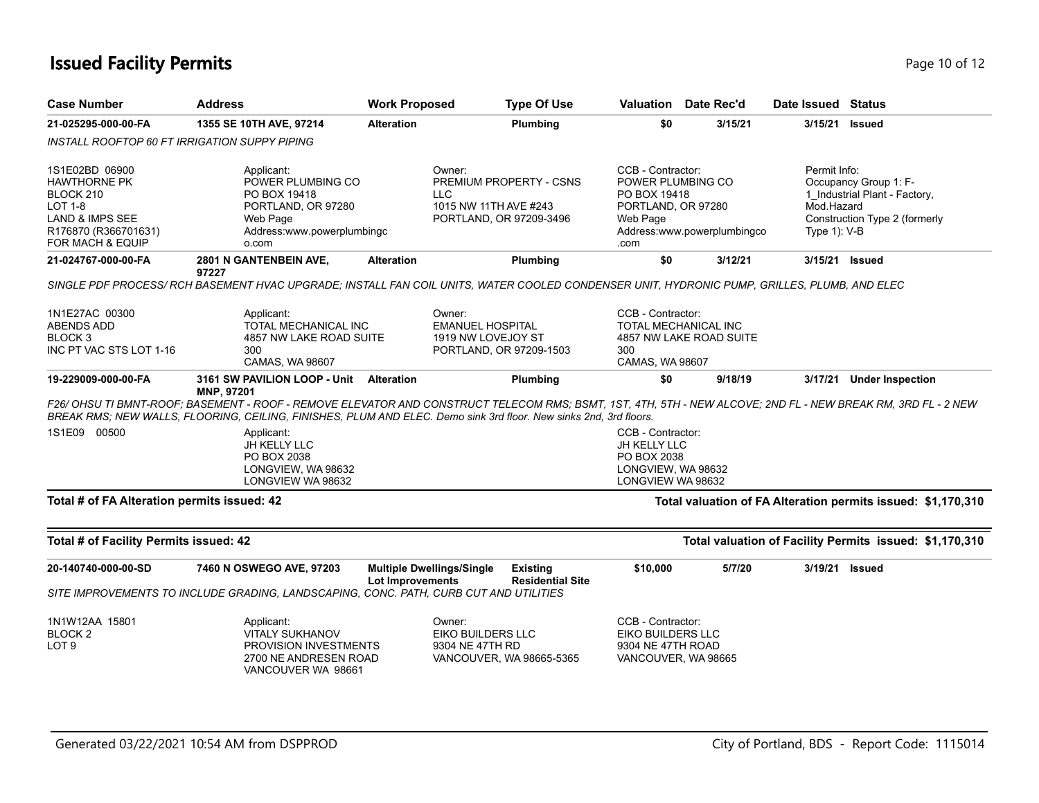# **Issued Facility Permits** Page 10 of 12

|                                                                                                                                                              | <b>Address</b>                                                                                                                                                 | <b>Work Proposed</b>             | <b>Type Of Use</b>                                                                            | <b>Valuation</b> Date Rec'd                                                              |                             | Date Issued Status                            |                                                                                                                         |
|--------------------------------------------------------------------------------------------------------------------------------------------------------------|----------------------------------------------------------------------------------------------------------------------------------------------------------------|----------------------------------|-----------------------------------------------------------------------------------------------|------------------------------------------------------------------------------------------|-----------------------------|-----------------------------------------------|-------------------------------------------------------------------------------------------------------------------------|
| 21-025295-000-00-FA                                                                                                                                          | 1355 SE 10TH AVE, 97214                                                                                                                                        | <b>Alteration</b>                | Plumbing                                                                                      | \$0                                                                                      | 3/15/21                     | 3/15/21                                       | <b>Issued</b>                                                                                                           |
|                                                                                                                                                              | INSTALL ROOFTOP 60 FT IRRIGATION SUPPY PIPING                                                                                                                  |                                  |                                                                                               |                                                                                          |                             |                                               |                                                                                                                         |
| 1S1E02BD 06900<br>HAWTHORNE PK<br>BLOCK 210<br>LOT 1-8<br>LAND & IMPS SEE<br>R176870 (R366701631)                                                            | Applicant:<br>POWER PLUMBING CO<br>PO BOX 19418<br>PORTLAND, OR 97280<br>Web Page<br>Address:www.powerplumbingc                                                |                                  | Owner:<br>PREMIUM PROPERTY - CSNS<br>LLC.<br>1015 NW 11TH AVE #243<br>PORTLAND, OR 97209-3496 | CCB - Contractor:<br>POWER PLUMBING CO<br>PO BOX 19418<br>PORTLAND, OR 97280<br>Web Page | Address:www.powerplumbingco | Permit Info:<br>Mod.Hazard<br>Type $1$ ): V-B | Occupancy Group 1: F-<br>1 Industrial Plant - Factory,<br>Construction Type 2 (formerly                                 |
| FOR MACH & EQUIP                                                                                                                                             | o.com                                                                                                                                                          |                                  |                                                                                               | .com                                                                                     |                             |                                               |                                                                                                                         |
| 21-024767-000-00-FA                                                                                                                                          | 2801 N GANTENBEIN AVE,<br>97227                                                                                                                                | <b>Alteration</b>                | Plumbing                                                                                      | \$0                                                                                      | 3/12/21                     | 3/15/21                                       | Issued                                                                                                                  |
|                                                                                                                                                              | SINGLE PDF PROCESS/ RCH BASEMENT HVAC UPGRADE; INSTALL FAN COIL UNITS, WATER COOLED CONDENSER UNIT, HYDRONIC PUMP, GRILLES, PLUMB, AND ELEC                    |                                  |                                                                                               |                                                                                          |                             |                                               |                                                                                                                         |
| 1N1E27AC 00300<br>ABENDS ADD<br>BLOCK 3<br>INC PT VAC STS LOT 1-16                                                                                           | Applicant:<br>TOTAL MECHANICAL INC<br>4857 NW LAKE ROAD SUITE<br>300<br>CAMAS, WA 98607                                                                        |                                  | Owner:<br><b>EMANUEL HOSPITAL</b><br>1919 NW LOVEJOY ST<br>PORTLAND, OR 97209-1503            | CCB - Contractor:<br><b>TOTAL MECHANICAL INC</b><br>300<br>CAMAS, WA 98607               | 4857 NW LAKE ROAD SUITE     |                                               |                                                                                                                         |
| 19-229009-000-00-FA                                                                                                                                          | 3161 SW PAVILION LOOP - Unit Alteration                                                                                                                        |                                  | Plumbing                                                                                      | \$0                                                                                      | 9/18/19                     |                                               | 3/17/21 Under Inspection                                                                                                |
| F26/ OHSU TI BMNT-ROOF: BASEMENT - ROOF - REMOVE ELEVATOR AND CONSTRUCT TELECOM RMS: BSMT. 1ST. 4TH. 5TH - NEW ALCOVE: 2ND FL - NEW BREAK RM. 3RD FL - 2 NEW | <b>MNP, 97201</b>                                                                                                                                              |                                  |                                                                                               |                                                                                          |                             |                                               |                                                                                                                         |
|                                                                                                                                                              | BREAK RMS; NEW WALLS, FLOORING, CEILING, FINISHES, PLUM AND ELEC. Demo sink 3rd floor. New sinks 2nd, 3rd floors.<br>Applicant:<br>JH KELLY LLC<br>PO BOX 2038 |                                  |                                                                                               | CCB - Contractor:<br>JH KELLY LLC<br>PO BOX 2038                                         |                             |                                               |                                                                                                                         |
|                                                                                                                                                              | LONGVIEW, WA 98632<br>LONGVIEW WA 98632                                                                                                                        |                                  |                                                                                               | LONGVIEW, WA 98632<br>LONGVIEW WA 98632                                                  |                             |                                               |                                                                                                                         |
|                                                                                                                                                              |                                                                                                                                                                |                                  |                                                                                               |                                                                                          |                             |                                               |                                                                                                                         |
|                                                                                                                                                              |                                                                                                                                                                |                                  |                                                                                               |                                                                                          |                             |                                               |                                                                                                                         |
|                                                                                                                                                              | 7460 N OSWEGO AVE, 97203                                                                                                                                       | <b>Multiple Dwellings/Single</b> | <b>Existing</b>                                                                               | \$10,000                                                                                 | 5/7/20                      |                                               | 3/19/21 Issued                                                                                                          |
| 1S1E09 00500<br>Total # of FA Alteration permits issued: 42<br>Total # of Facility Permits issued: 42<br>20-140740-000-00-SD                                 | SITE IMPROVEMENTS TO INCLUDE GRADING, LANDSCAPING, CONC. PATH, CURB CUT AND UTILITIES                                                                          | <b>Lot Improvements</b>          | <b>Residential Site</b>                                                                       |                                                                                          |                             |                                               | Total valuation of FA Alteration permits issued: \$1,170,310<br>Total valuation of Facility Permits issued: \$1,170,310 |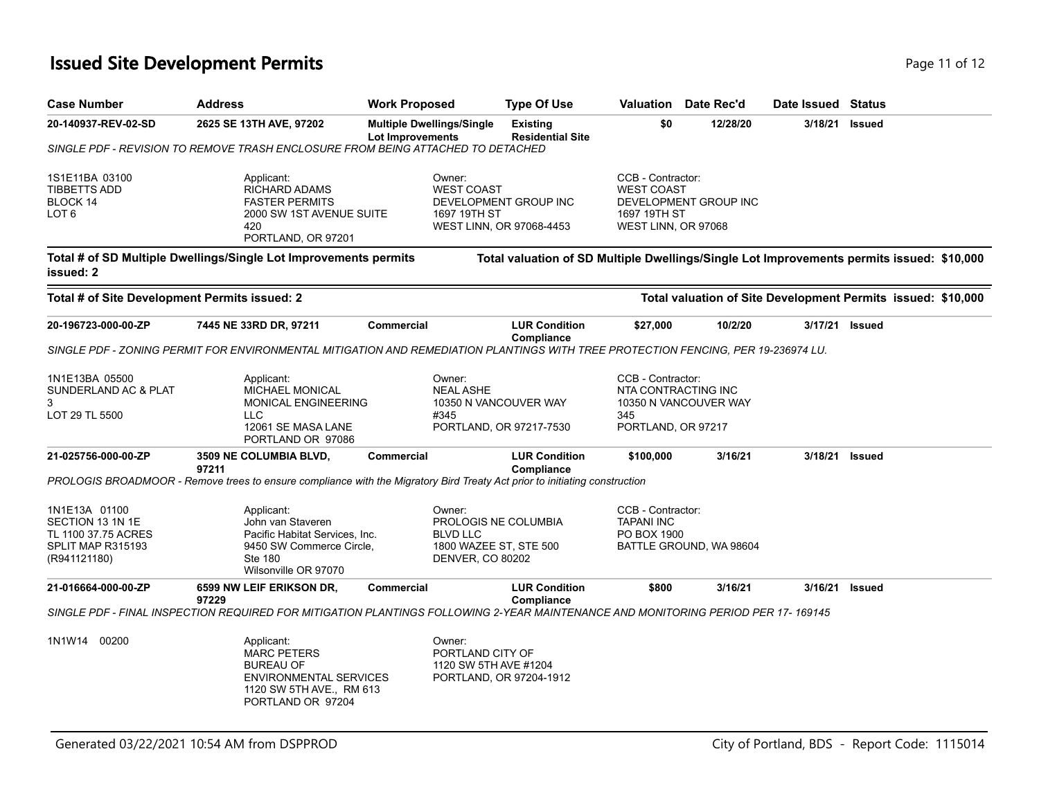## **Issued Site Development Permits Page 11 of 12** and the page 11 of 12

| <b>Case Number</b>                                                                            | <b>Address</b>                                                                                                                            | <b>Work Proposed</b>                                                           | <b>Type Of Use</b>                                | Valuation                                                                     | Date Rec'd              | Date Issued Status |                                                                                           |
|-----------------------------------------------------------------------------------------------|-------------------------------------------------------------------------------------------------------------------------------------------|--------------------------------------------------------------------------------|---------------------------------------------------|-------------------------------------------------------------------------------|-------------------------|--------------------|-------------------------------------------------------------------------------------------|
| 20-140937-REV-02-SD                                                                           | 2625 SE 13TH AVE, 97202                                                                                                                   | <b>Multiple Dwellings/Single</b><br>Lot Improvements                           | <b>Existing</b><br><b>Residential Site</b>        | \$0                                                                           | 12/28/20                | 3/18/21            | <b>Issued</b>                                                                             |
|                                                                                               | SINGLE PDF - REVISION TO REMOVE TRASH ENCLOSURE FROM BEING ATTACHED TO DETACHED                                                           |                                                                                |                                                   |                                                                               |                         |                    |                                                                                           |
| 1S1E11BA 03100<br><b>TIBBETTS ADD</b><br>BLOCK 14<br>LOT <sub>6</sub>                         | Applicant:<br><b>RICHARD ADAMS</b><br><b>FASTER PERMITS</b><br>2000 SW 1ST AVENUE SUITE<br>420<br>PORTLAND, OR 97201                      | Owner:<br><b>WEST COAST</b><br>1697 19TH ST                                    | DEVELOPMENT GROUP INC<br>WEST LINN, OR 97068-4453 | CCB - Contractor:<br><b>WEST COAST</b><br>1697 19TH ST<br>WEST LINN, OR 97068 | DEVELOPMENT GROUP INC   |                    |                                                                                           |
| issued: 2                                                                                     | Total # of SD Multiple Dwellings/Single Lot Improvements permits                                                                          |                                                                                |                                                   |                                                                               |                         |                    | Total valuation of SD Multiple Dwellings/Single Lot Improvements permits issued: \$10,000 |
| Total # of Site Development Permits issued: 2                                                 |                                                                                                                                           |                                                                                |                                                   |                                                                               |                         |                    | Total valuation of Site Development Permits issued: \$10,000                              |
| 20-196723-000-00-ZP                                                                           | 7445 NE 33RD DR, 97211                                                                                                                    | <b>Commercial</b>                                                              | <b>LUR Condition</b><br>Compliance                | \$27,000                                                                      | 10/2/20                 | 3/17/21            | <b>Issued</b>                                                                             |
|                                                                                               | SINGLE PDF - ZONING PERMIT FOR ENVIRONMENTAL MITIGATION AND REMEDIATION PLANTINGS WITH TREE PROTECTION FENCING, PER 19-236974 LU.         |                                                                                |                                                   |                                                                               |                         |                    |                                                                                           |
| 1N1E13BA 05500<br>SUNDERLAND AC & PLAT<br>3<br>LOT 29 TL 5500                                 | Applicant:<br>MICHAEL MONICAL<br>MONICAL ENGINEERING<br><b>LLC</b><br>12061 SE MASA LANE<br>PORTLAND OR 97086                             | Owner:<br><b>NEAL ASHE</b><br>#345                                             | 10350 N VANCOUVER WAY<br>PORTLAND, OR 97217-7530  | CCB - Contractor:<br>NTA CONTRACTING INC<br>345<br>PORTLAND, OR 97217         | 10350 N VANCOUVER WAY   |                    |                                                                                           |
| 21-025756-000-00-ZP                                                                           | 3509 NE COLUMBIA BLVD,<br>97211                                                                                                           | <b>Commercial</b>                                                              | <b>LUR Condition</b><br><b>Compliance</b>         | \$100,000                                                                     | 3/16/21                 | 3/18/21            | <b>Issued</b>                                                                             |
|                                                                                               | PROLOGIS BROADMOOR - Remove trees to ensure compliance with the Migratory Bird Treaty Act prior to initiating construction                |                                                                                |                                                   |                                                                               |                         |                    |                                                                                           |
| 1N1E13A 01100<br>SECTION 13 1N 1E<br>TL 1100 37.75 ACRES<br>SPLIT MAP R315193<br>(R941121180) | Applicant:<br>John van Staveren<br>Pacific Habitat Services, Inc.<br>9450 SW Commerce Circle,<br>Ste 180<br>Wilsonville OR 97070          | Owner:<br><b>BLVD LLC</b><br>1800 WAZEE ST, STE 500<br><b>DENVER, CO 80202</b> | PROLOGIS NE COLUMBIA                              | CCB - Contractor:<br><b>TAPANI INC</b><br>PO BOX 1900                         | BATTLE GROUND, WA 98604 |                    |                                                                                           |
| 21-016664-000-00-ZP                                                                           | 6599 NW LEIF ERIKSON DR,                                                                                                                  | Commercial                                                                     | <b>LUR Condition</b>                              | \$800                                                                         | 3/16/21                 | 3/16/21            | <b>Issued</b>                                                                             |
|                                                                                               | 97229<br>SINGLE PDF - FINAL INSPECTION REQUIRED FOR MITIGATION PLANTINGS FOLLOWING 2-YEAR MAINTENANCE AND MONITORING PERIOD PER 17-169145 |                                                                                | Compliance                                        |                                                                               |                         |                    |                                                                                           |
| 1N1W14<br>00200                                                                               | Applicant:<br><b>MARC PETERS</b><br><b>BUREAU OF</b><br><b>ENVIRONMENTAL SERVICES</b><br>1120 SW 5TH AVE., RM 613<br>PORTLAND OR 97204    | Owner:<br>PORTLAND CITY OF<br>1120 SW 5TH AVE #1204                            | PORTLAND, OR 97204-1912                           |                                                                               |                         |                    |                                                                                           |